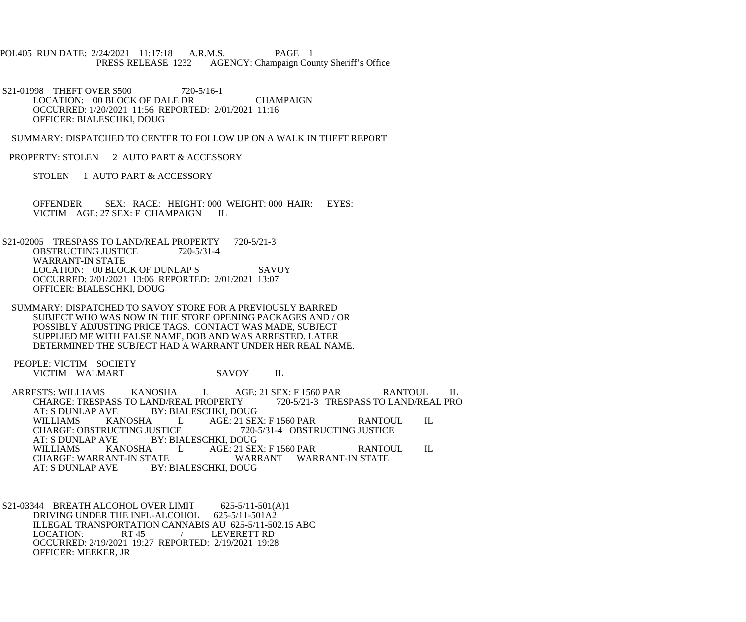POL405 RUN DATE: 2/24/2021 11:17:18 A.R.M.S. PAGE 1<br>PRESS RELEASE 1232 AGENCY: Champaign Cou AGENCY: Champaign County Sheriff's Office

S21-01998 THEFT OVER \$500 720-5/16-1 LOCATION: 00 BLOCK OF DALE DR CHAMPAIGN OCCURRED: 1/20/2021 11:56 REPORTED: 2/01/2021 11:16 OFFICER: BIALESCHKI, DOUG

SUMMARY: DISPATCHED TO CENTER TO FOLLOW UP ON A WALK IN THEFT REPORT

PROPERTY: STOLEN 2 AUTO PART & ACCESSORY

STOLEN 1 AUTO PART & ACCESSORY

 OFFENDER SEX: RACE: HEIGHT: 000 WEIGHT: 000 HAIR: EYES: VICTIM AGE: 27 SEX: F CHAMPAIGN IL

S21-02005 TRESPASS TO LAND/REAL PROPERTY 720-5/21-3<br>OBSTRUCTING JUSTICE 720-5/31-4 OBSTRUCTING JUSTICE WARRANT-IN STATE LOCATION: 00 BLOCK OF DUNLAP S SAVOY OCCURRED: 2/01/2021 13:06 REPORTED: 2/01/2021 13:07 OFFICER: BIALESCHKI, DOUG

 SUMMARY: DISPATCHED TO SAVOY STORE FOR A PREVIOUSLY BARRED SUBJECT WHO WAS NOW IN THE STORE OPENING PACKAGES AND / OR POSSIBLY ADJUSTING PRICE TAGS. CONTACT WAS MADE, SUBJECT SUPPLIED ME WITH FALSE NAME, DOB AND WAS ARRESTED. LATER DETERMINED THE SUBJECT HAD A WARRANT UNDER HER REAL NAME.

 PEOPLE: VICTIM SOCIETY VICTIM WALMART SAVOY IL

ARRESTS: WILLIAMS KANOSHA L AGE: 21 SEX: F 1560 PAR RANTOUL IL CHARGE: TRESPASS TO LAND/REAL PROPERTY 720-5/21-3 TRESPASS TO LAND/REAL PRO CHARGE: TRESPASS TO LAND/REAL PROPERTY<br>AT: S DUNLAP AVE BY: BIALESCHKI, DOU AT: S DUNLAP AVE BY: BIALESCHKI, DOUG<br>WILLIAMS KANOSHA LAGE: 21 SE AGE: 21 SEX: F 1560 PAR RANTOUL IL<br>
720-5/31-4 OBSTRUCTING JUSTICE CHARGE: OBSTRUCTING JUSTICE<br>AT: S DUNLAP AVE BY: BIA AT: S DUNLAP AVE BY: BIALESCHKI, DOUG<br>WILLIAMS KANOSHA LAGE: 21 SE WILLIAMS KANOSHA L AGE: 21 SEX: F 1560 PAR RANTOUL IL CHARGE: WARRANT-IN STATE CHARGE: WARRANT-IN STATE WARRANT WARRANT-IN STATE<br>AT: S DUNLAP AVE BY: BIALESCHKI. DOUG BY: BIALESCHKI, DOUG

 S21-03344 BREATH ALCOHOL OVER LIMIT 625-5/11-501(A)1 DRIVING UNDER THE INFL-ALCOHOL 625-5/11-501A2 ILLEGAL TRANSPORTATION CANNABIS AU 625-5/11-502.15 ABC<br>LOCATION: RT 45 / LEVERETT RD / LEVERETT RD OCCURRED: 2/19/2021 19:27 REPORTED: 2/19/2021 19:28 OFFICER: MEEKER, JR